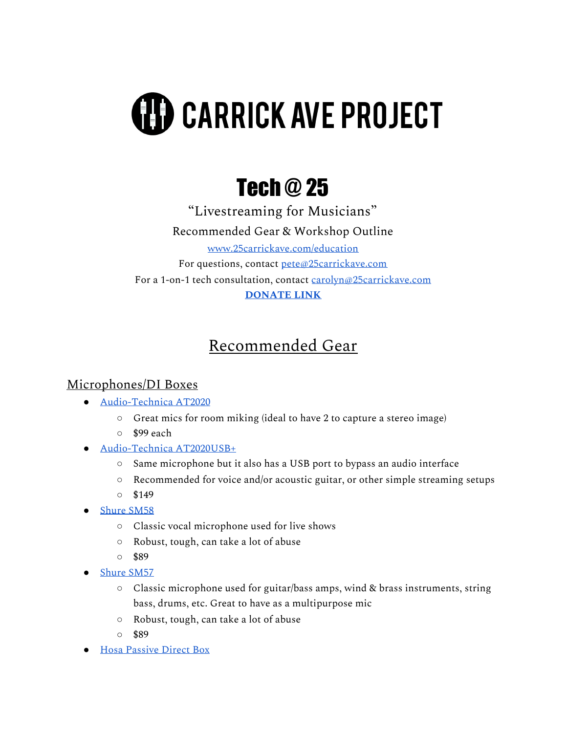# **(II) CARRICK AVE PROJECT**

# Tech @ 25

"Livestreaming for Musicians" Recommended Gear & Workshop Outline [www.25carrickave.com/education](http://www.25carrickave.com/education) For questions, contact [pete@25carrickave.com](mailto:pete@25carrickave.com) For a 1-on-1 tech consultation, contact [carolyn@25carrickave.com](mailto:carolyn@25carrickave.com) **[DONATE](https://www.paypal.com/paypalme/25carrick) LINK**

## Recommended Gear

#### Microphones/DI Boxes

- [Audio-Technica](https://www.sweetwater.com/store/detail/AT2020--audio-technica-at2020-cardioid-condenser-microphone) AT2020
	- Great mics for room miking (ideal to have 2 to capture a stereo image)
	- \$99 each
- [Audio-Technica](https://www.sweetwater.com/store/detail/AT2020USBP--audio-technica-at2020usb-cardioid-condenser-usb-microphone) AT2020USB+
	- Same microphone but it also has a USB port to bypass an audio interface
	- Recommended for voice and/or acoustic guitar, or other simple streaming setups
	- \$149
- [Shure](https://www.sweetwater.com/store/detail/SM58--shure-sm58-cardioid-dynamic-vocal-microphone) SM58
	- Classic vocal microphone used for live shows
	- Robust, tough, can take a lot of abuse
	- \$89
- [Shure](https://www.sweetwater.com/store/detail/SM57--shure-sm57-cardioid-dynamic-instrument-microphone) SM57
	- Classic microphone used for guitar/bass amps, wind & brass instruments, string bass, drums, etc. Great to have as a multipurpose mic
	- Robust, tough, can take a lot of abuse
	- \$89
- Hosa [Passive](https://www.sweetwater.com/store/detail/DIB443--hosa-dib-443-sidekick-passive-di-box-1-4-in-ts-to-xlr3m) Direct Box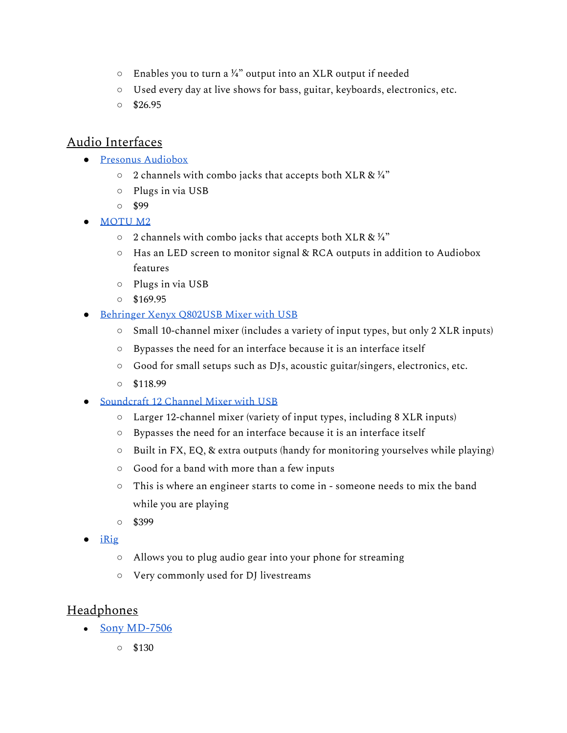- $\circ$  Enables you to turn a ¼" output into an XLR output if needed
- Used every day at live shows for bass, guitar, keyboards, electronics, etc.
- $0$  \$26.95

#### Audio Interfaces

- Presonus [Audiobox](https://www.sweetwater.com/store/detail/AudioBox25--presonus-audiobox-usb-96-usb-audio-interface-25th-anniversary-edition?mrkgadid=3341928406&mrkgcl=28&mrkgen=gpla&mrkgbflag=0&mrkgcat=studio&recording&&acctid=21700000001645388&dskeywordid=92700046937640630&lid=92700046937640630&ds_s_kwgid=58700005287223859&ds_s_inventory_feed_id=97700000007215323&dsproductgroupid=373165020894&product_id=AudioBox25&prodctry=US&prodlang=en&channel=online&storeid=&device=c&network=g&matchtype=&locationid=9005938&creative=353504443384&targetid=aud-994727058685:pla-373165020894&campaignid=2005754838&gclid=CjwKCAiAzNj9BRBDEiwAPsL0dynzoL3voIpaw42PIVizkMGIBhV6kMrIek3JXuozWK_F47g0mBaeJxoC16wQAvD_BwE&gclsrc=aw.ds)
	- $\circ$  2 channels with combo jacks that accepts both XLR &  $\frac{1}{4}$ "
	- Plugs in via USB
	- \$99
- [MOTU](https://www.sweetwater.com/store/detail/M2--motu-m2-2x2-usb-c-audio-interface) M2
	- $\circ$  2 channels with combo jacks that accepts both XLR &  $\frac{1}{4}$ "
	- Has an LED screen to monitor signal & RCA outputs in addition to Audiobox features
	- Plugs in via USB
	- $0$  \$169.95
- [Behringer](https://www.sweetwater.com/store/detail/Q802USB--behringer-xenyx-q802usb-mixer-with-usb) Xenyx Q802USB Mixer with USB
	- Small 10-channel mixer (includes a variety of input types, but only 2 XLR inputs)
	- Bypasses the need for an interface because it is an interface itself
	- Good for small setups such as DJs, acoustic guitar/singers, electronics, etc.
	- $\circ$  \$118.99
- **[Soundcraft](https://www.sweetwater.com/store/detail/Sig12--soundcraft-signature-12-mixer-with-effects) 12 Channel Mixer with USB** 
	- Larger 12-channel mixer (variety of input types, including 8 XLR inputs)
	- Bypasses the need for an interface because it is an interface itself
	- Built in FX, EQ, & extra outputs (handy for monitoring yourselves while playing)
	- Good for a band with more than a few inputs
	- This is where an engineer starts to come in someone needs to mix the band while you are playing
	- \$399
- [iRig](https://www.ikmultimedia.com/products/irigstream/?pkey=irigstream)
	- Allows you to plug audio gear into your phone for streaming
	- Very commonly used for DJ livestreams

#### **Headphones**

- **●** Sony [MD-7506](https://pro.sony/ue_US/products/headphones/mdr-7506)
	- \$130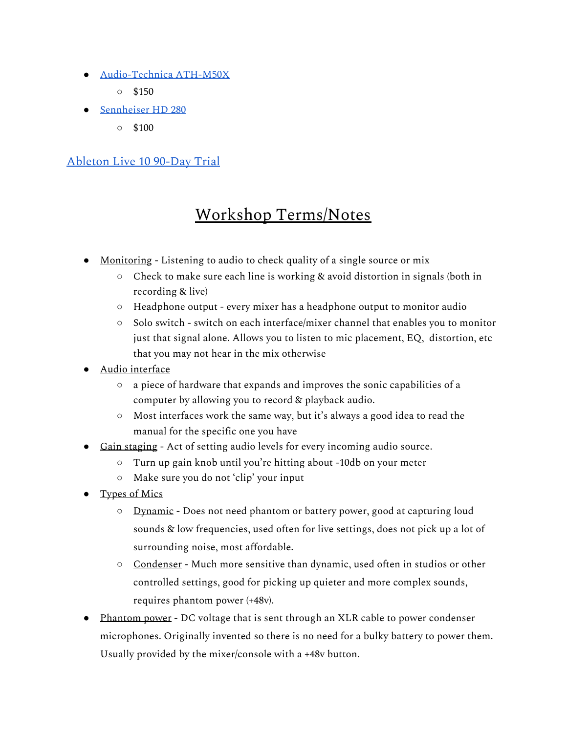- [Audio-Technica](https://www.audio-technica.com/en-us/ath-m50x) ATH-M50X
	- $\circ$  \$150
- [Sennheiser](https://en-us.sennheiser.com/hd-280-pro) HD 280
	- $\circ$  \$100

#### [Ableton](https://www.ableton.com/en/trial/) Live 10 90-Day Trial

### Workshop Terms/Notes

- Monitoring Listening to audio to check quality of a single source or mix
	- Check to make sure each line is working & avoid distortion in signals (both in recording & live)
	- Headphone output every mixer has a headphone output to monitor audio
	- Solo switch switch on each interface/mixer channel that enables you to monitor just that signal alone. Allows you to listen to mic placement, EQ, distortion, etc that you may not hear in the mix otherwise
- Audio interface
	- a piece of hardware that expands and improves the sonic capabilities of a computer by allowing you to record & playback audio.
	- Most interfaces work the same way, but it's always a good idea to read the manual for the specific one you have
- Gain staging Act of setting audio levels for every incoming audio source.
	- Turn up gain knob until you're hitting about -10db on your meter
	- Make sure you do not 'clip' your input
- Types of Mics
	- Dynamic Does not need phantom or battery power, good at capturing loud sounds & low frequencies, used often for live settings, does not pick up a lot of surrounding noise, most affordable.
	- Condenser Much more sensitive than dynamic, used often in studios or other controlled settings, good for picking up quieter and more complex sounds, requires phantom power (+48v).
- Phantom power DC voltage that is sent through an XLR cable to power condenser microphones. Originally invented so there is no need for a bulky battery to power them. Usually provided by the mixer/console with a +48v button.